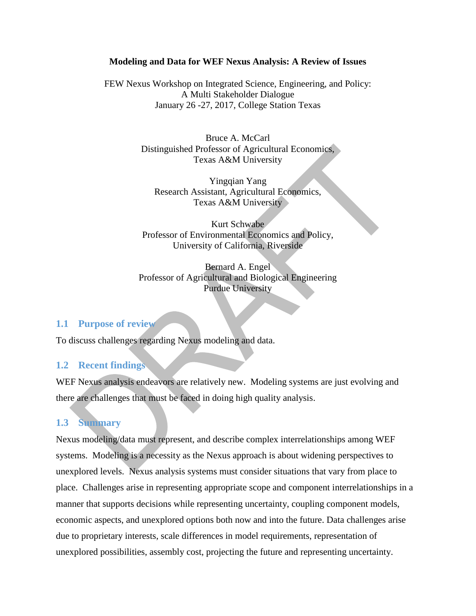#### **Modeling and Data for WEF Nexus Analysis: A Review of Issues**

FEW Nexus Workshop on Integrated Science, Engineering, and Policy: A Multi Stakeholder Dialogue January 26 -27, 2017, College Station Texas

> Bruce A. McCarl Distinguished Professor of Agricultural Economics, Texas A&M University

Yingqian Yang Research Assistant, Agricultural Economics, Texas A&M University

Kurt Schwabe Professor of Environmental Economics and Policy, University of California, Riverside

Bernard A. Engel Professor of Agricultural and Biological Engineering Purdue University

#### **1.1 Purpose of review**

To discuss challenges regarding Nexus modeling and data.

#### **1.2 Recent findings**

WEF Nexus analysis endeavors are relatively new. Modeling systems are just evolving and there are challenges that must be faced in doing high quality analysis.

#### **1.3 Summary**

Nexus modeling/data must represent, and describe complex interrelationships among WEF systems. Modeling is a necessity as the Nexus approach is about widening perspectives to unexplored levels. Nexus analysis systems must consider situations that vary from place to place. Challenges arise in representing appropriate scope and component interrelationships in a manner that supports decisions while representing uncertainty, coupling component models, economic aspects, and unexplored options both now and into the future. Data challenges arise due to proprietary interests, scale differences in model requirements, representation of unexplored possibilities, assembly cost, projecting the future and representing uncertainty.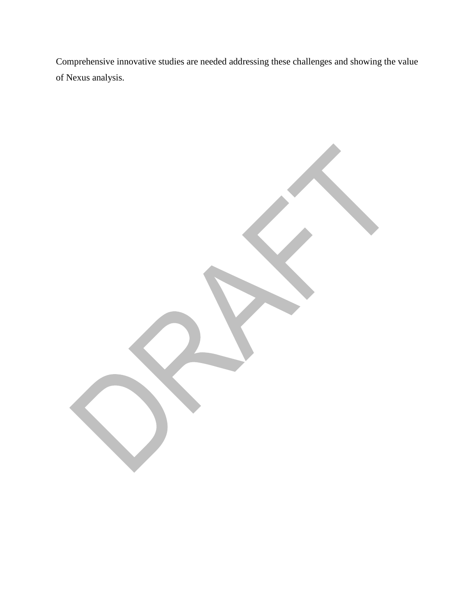Comprehensive innovative studies are needed addressing these challenges and showing the value of Nexus analysis.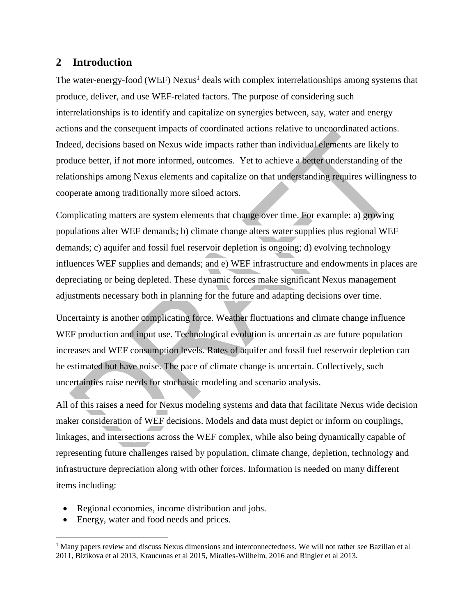## **2 Introduction**

The water-energy-food (WEF) Nexus<sup>1</sup> deals with complex interrelationships among systems that produce, deliver, and use WEF-related factors. The purpose of considering such interrelationships is to identify and capitalize on synergies between, say, water and energy actions and the consequent impacts of coordinated actions relative to uncoordinated actions. Indeed, decisions based on Nexus wide impacts rather than individual elements are likely to produce better, if not more informed, outcomes. Yet to achieve a better understanding of the relationships among Nexus elements and capitalize on that understanding requires willingness to cooperate among traditionally more siloed actors.

Complicating matters are system elements that change over time. For example: a) growing populations alter WEF demands; b) climate change alters water supplies plus regional WEF demands; c) aquifer and fossil fuel reservoir depletion is ongoing; d) evolving technology influences WEF supplies and demands; and e) WEF infrastructure and endowments in places are depreciating or being depleted. These dynamic forces make significant Nexus management adjustments necessary both in planning for the future and adapting decisions over time.

Uncertainty is another complicating force. Weather fluctuations and climate change influence WEF production and input use. Technological evolution is uncertain as are future population increases and WEF consumption levels. Rates of aquifer and fossil fuel reservoir depletion can be estimated but have noise. The pace of climate change is uncertain. Collectively, such uncertainties raise needs for stochastic modeling and scenario analysis.

All of this raises a need for Nexus modeling systems and data that facilitate Nexus wide decision maker consideration of WEF decisions. Models and data must depict or inform on couplings, linkages, and intersections across the WEF complex, while also being dynamically capable of representing future challenges raised by population, climate change, depletion, technology and infrastructure depreciation along with other forces. Information is needed on many different items including:

- Regional economies, income distribution and jobs.
- Energy, water and food needs and prices.

 $\overline{a}$ 

 $<sup>1</sup>$  Many papers review and discuss Nexus dimensions and interconnectedness. We will not rather see Bazilian et al</sup> 2011, Bizikova et al 2013, Kraucunas et al 2015, Miralles-Wilhelm, 2016 and Ringler et al 2013.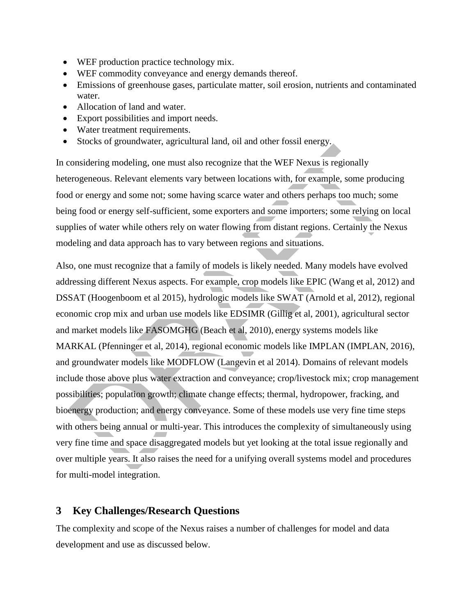- WEF production practice technology mix.
- WEF commodity conveyance and energy demands thereof.
- Emissions of greenhouse gases, particulate matter, soil erosion, nutrients and contaminated water.
- Allocation of land and water.
- Export possibilities and import needs.
- Water treatment requirements.
- Stocks of groundwater, agricultural land, oil and other fossil energy.

In considering modeling, one must also recognize that the WEF Nexus is regionally heterogeneous. Relevant elements vary between locations with, for example, some producing food or energy and some not; some having scarce water and others perhaps too much; some being food or energy self-sufficient, some exporters and some importers; some relying on local supplies of water while others rely on water flowing from distant regions. Certainly the Nexus modeling and data approach has to vary between regions and situations.

Also, one must recognize that a family of models is likely needed. Many models have evolved addressing different Nexus aspects. For example, crop models like EPIC (Wang et al, 2012) and DSSAT (Hoogenboom et al 2015), hydrologic models like SWAT (Arnold et al, 2012), regional economic crop mix and urban use models like EDSIMR (Gillig et al, 2001), agricultural sector and market models like FASOMGHG (Beach et al, 2010), energy systems models like MARKAL (Pfenninger et al, 2014), regional economic models like IMPLAN (IMPLAN, 2016), and groundwater models like MODFLOW (Langevin et al 2014). Domains of relevant models include those above plus water extraction and conveyance; crop/livestock mix; crop management possibilities; population growth; climate change effects; thermal, hydropower, fracking, and bioenergy production; and energy conveyance. Some of these models use very fine time steps with others being annual or multi-year. This introduces the complexity of simultaneously using very fine time and space disaggregated models but yet looking at the total issue regionally and over multiple years. It also raises the need for a unifying overall systems model and procedures for multi-model integration.

## **3 Key Challenges/Research Questions**

The complexity and scope of the Nexus raises a number of challenges for model and data development and use as discussed below.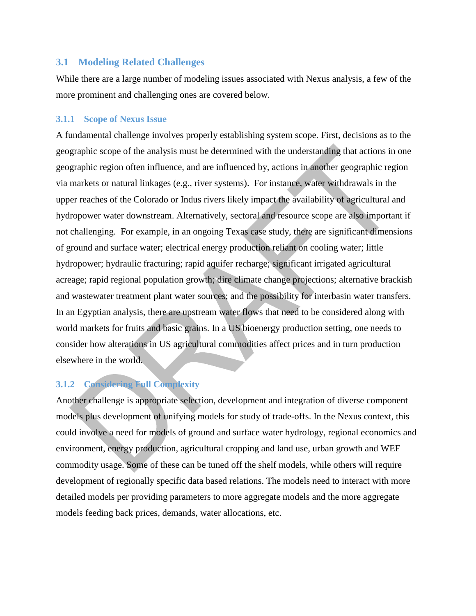### **3.1 Modeling Related Challenges**

While there are a large number of modeling issues associated with Nexus analysis, a few of the more prominent and challenging ones are covered below.

#### **3.1.1 Scope of Nexus Issue**

A fundamental challenge involves properly establishing system scope. First, decisions as to the geographic scope of the analysis must be determined with the understanding that actions in one geographic region often influence, and are influenced by, actions in another geographic region via markets or natural linkages (e.g., river systems). For instance, water withdrawals in the upper reaches of the Colorado or Indus rivers likely impact the availability of agricultural and hydropower water downstream. Alternatively, sectoral and resource scope are also important if not challenging. For example, in an ongoing Texas case study, there are significant dimensions of ground and surface water; electrical energy production reliant on cooling water; little hydropower; hydraulic fracturing; rapid aquifer recharge; significant irrigated agricultural acreage; rapid regional population growth; dire climate change projections; alternative brackish and wastewater treatment plant water sources; and the possibility for interbasin water transfers. In an Egyptian analysis, there are upstream water flows that need to be considered along with world markets for fruits and basic grains. In a US bioenergy production setting, one needs to consider how alterations in US agricultural commodities affect prices and in turn production elsewhere in the world.

## **3.1.2 Considering Full Complexity**

Another challenge is appropriate selection, development and integration of diverse component models plus development of unifying models for study of trade-offs. In the Nexus context, this could involve a need for models of ground and surface water hydrology, regional economics and environment, energy production, agricultural cropping and land use, urban growth and WEF commodity usage. Some of these can be tuned off the shelf models, while others will require development of regionally specific data based relations. The models need to interact with more detailed models per providing parameters to more aggregate models and the more aggregate models feeding back prices, demands, water allocations, etc.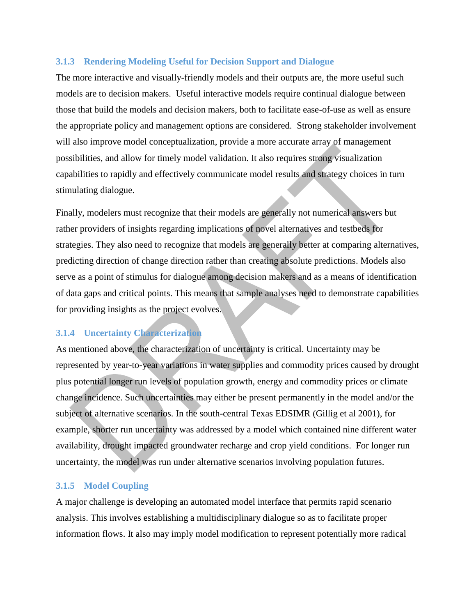#### **3.1.3 Rendering Modeling Useful for Decision Support and Dialogue**

The more interactive and visually-friendly models and their outputs are, the more useful such models are to decision makers. Useful interactive models require continual dialogue between those that build the models and decision makers, both to facilitate ease-of-use as well as ensure the appropriate policy and management options are considered. Strong stakeholder involvement will also improve model conceptualization, provide a more accurate array of management possibilities, and allow for timely model validation. It also requires strong visualization capabilities to rapidly and effectively communicate model results and strategy choices in turn stimulating dialogue.

Finally, modelers must recognize that their models are generally not numerical answers but rather providers of insights regarding implications of novel alternatives and testbeds for strategies. They also need to recognize that models are generally better at comparing alternatives, predicting direction of change direction rather than creating absolute predictions. Models also serve as a point of stimulus for dialogue among decision makers and as a means of identification of data gaps and critical points. This means that sample analyses need to demonstrate capabilities for providing insights as the project evolves.

### **3.1.4 Uncertainty Characterization**

As mentioned above, the characterization of uncertainty is critical. Uncertainty may be represented by year-to-year variations in water supplies and commodity prices caused by drought plus potential longer run levels of population growth, energy and commodity prices or climate change incidence. Such uncertainties may either be present permanently in the model and/or the subject of alternative scenarios. In the south-central Texas EDSIMR (Gillig et al 2001), for example, shorter run uncertainty was addressed by a model which contained nine different water availability, drought impacted groundwater recharge and crop yield conditions. For longer run uncertainty, the model was run under alternative scenarios involving population futures.

### **3.1.5 Model Coupling**

A major challenge is developing an automated model interface that permits rapid scenario analysis. This involves establishing a multidisciplinary dialogue so as to facilitate proper information flows. It also may imply model modification to represent potentially more radical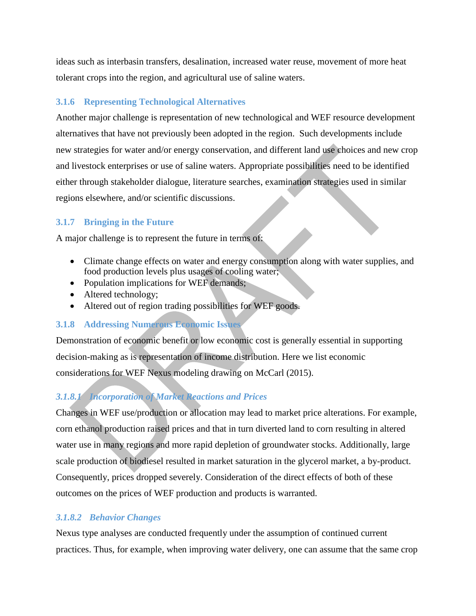ideas such as interbasin transfers, desalination, increased water reuse, movement of more heat tolerant crops into the region, and agricultural use of saline waters.

## **3.1.6 Representing Technological Alternatives**

Another major challenge is representation of new technological and WEF resource development alternatives that have not previously been adopted in the region. Such developments include new strategies for water and/or energy conservation, and different land use choices and new crop and livestock enterprises or use of saline waters. Appropriate possibilities need to be identified either through stakeholder dialogue, literature searches, examination strategies used in similar regions elsewhere, and/or scientific discussions.

## **3.1.7 Bringing in the Future**

A major challenge is to represent the future in terms of:

- Climate change effects on water and energy consumption along with water supplies, and food production levels plus usages of cooling water;
- Population implications for WEF demands;
- Altered technology;
- Altered out of region trading possibilities for WEF goods.

### **3.1.8 Addressing Numerous Economic Issues**

Demonstration of economic benefit or low economic cost is generally essential in supporting decision-making as is representation of income distribution. Here we list economic considerations for WEF Nexus modeling drawing on McCarl (2015).

# *3.1.8.1 Incorporation of Market Reactions and Prices*

Changes in WEF use/production or allocation may lead to market price alterations. For example, corn ethanol production raised prices and that in turn diverted land to corn resulting in altered water use in many regions and more rapid depletion of groundwater stocks. Additionally, large scale production of biodiesel resulted in market saturation in the glycerol market, a by-product. Consequently, prices dropped severely. Consideration of the direct effects of both of these outcomes on the prices of WEF production and products is warranted.

## *3.1.8.2 Behavior Changes*

Nexus type analyses are conducted frequently under the assumption of continued current practices. Thus, for example, when improving water delivery, one can assume that the same crop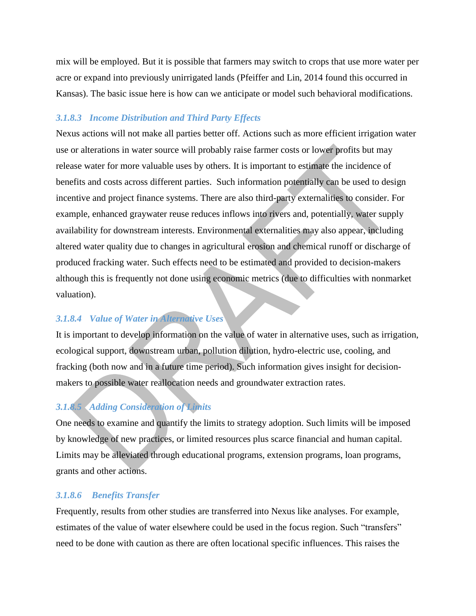mix will be employed. But it is possible that farmers may switch to crops that use more water per acre or expand into previously unirrigated lands (Pfeiffer and Lin, 2014 found this occurred in Kansas). The basic issue here is how can we anticipate or model such behavioral modifications.

#### *3.1.8.3 Income Distribution and Third Party Effects*

Nexus actions will not make all parties better off. Actions such as more efficient irrigation water use or alterations in water source will probably raise farmer costs or lower profits but may release water for more valuable uses by others. It is important to estimate the incidence of benefits and costs across different parties. Such information potentially can be used to design incentive and project finance systems. There are also third-party externalities to consider. For example, enhanced graywater reuse reduces inflows into rivers and, potentially, water supply availability for downstream interests. Environmental externalities may also appear, including altered water quality due to changes in agricultural erosion and chemical runoff or discharge of produced fracking water. Such effects need to be estimated and provided to decision-makers although this is frequently not done using economic metrics (due to difficulties with nonmarket valuation).

### *3.1.8.4 Value of Water in Alternative Uses*

It is important to develop information on the value of water in alternative uses, such as irrigation, ecological support, downstream urban, pollution dilution, hydro-electric use, cooling, and fracking (both now and in a future time period). Such information gives insight for decisionmakers to possible water reallocation needs and groundwater extraction rates.

## *3.1.8.5 Adding Consideration of Limits*

One needs to examine and quantify the limits to strategy adoption. Such limits will be imposed by knowledge of new practices, or limited resources plus scarce financial and human capital. Limits may be alleviated through educational programs, extension programs, loan programs, grants and other actions.

#### *3.1.8.6 Benefits Transfer*

Frequently, results from other studies are transferred into Nexus like analyses. For example, estimates of the value of water elsewhere could be used in the focus region. Such "transfers" need to be done with caution as there are often locational specific influences. This raises the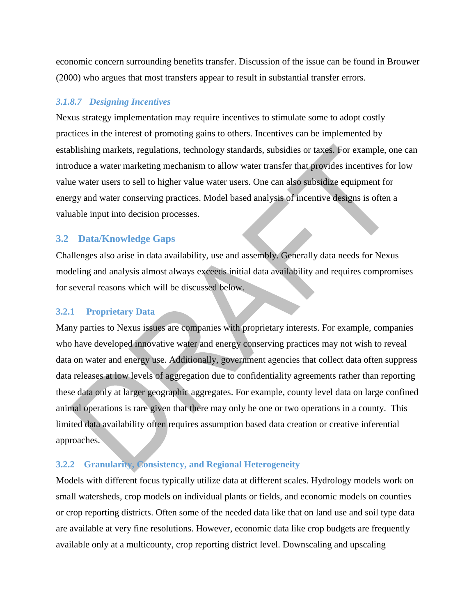economic concern surrounding benefits transfer. Discussion of the issue can be found in Brouwer (2000) who argues that most transfers appear to result in substantial transfer errors.

### *3.1.8.7 Designing Incentives*

Nexus strategy implementation may require incentives to stimulate some to adopt costly practices in the interest of promoting gains to others. Incentives can be implemented by establishing markets, regulations, technology standards, subsidies or taxes. For example, one can introduce a water marketing mechanism to allow water transfer that provides incentives for low value water users to sell to higher value water users. One can also subsidize equipment for energy and water conserving practices. Model based analysis of incentive designs is often a valuable input into decision processes.

# **3.2 Data/Knowledge Gaps**

Challenges also arise in data availability, use and assembly. Generally data needs for Nexus modeling and analysis almost always exceeds initial data availability and requires compromises for several reasons which will be discussed below.

### **3.2.1 Proprietary Data**

Many parties to Nexus issues are companies with proprietary interests. For example, companies who have developed innovative water and energy conserving practices may not wish to reveal data on water and energy use. Additionally, government agencies that collect data often suppress data releases at low levels of aggregation due to confidentiality agreements rather than reporting these data only at larger geographic aggregates. For example, county level data on large confined animal operations is rare given that there may only be one or two operations in a county. This limited data availability often requires assumption based data creation or creative inferential approaches.

## **3.2.2 Granularity, Consistency, and Regional Heterogeneity**

Models with different focus typically utilize data at different scales. Hydrology models work on small watersheds, crop models on individual plants or fields, and economic models on counties or crop reporting districts. Often some of the needed data like that on land use and soil type data are available at very fine resolutions. However, economic data like crop budgets are frequently available only at a multicounty, crop reporting district level. Downscaling and upscaling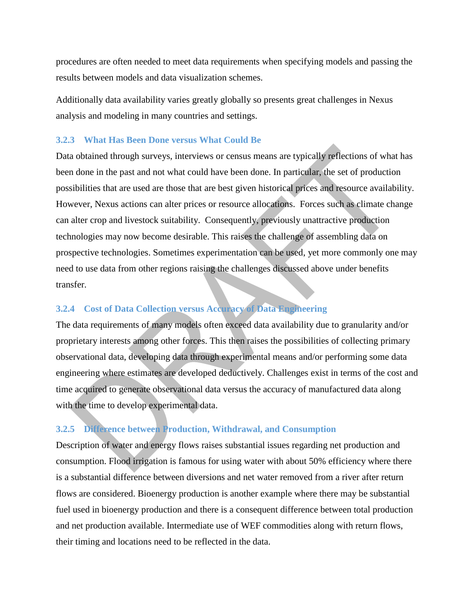procedures are often needed to meet data requirements when specifying models and passing the results between models and data visualization schemes.

Additionally data availability varies greatly globally so presents great challenges in Nexus analysis and modeling in many countries and settings.

#### **3.2.3 What Has Been Done versus What Could Be**

Data obtained through surveys, interviews or census means are typically reflections of what has been done in the past and not what could have been done. In particular, the set of production possibilities that are used are those that are best given historical prices and resource availability. However, Nexus actions can alter prices or resource allocations. Forces such as climate change can alter crop and livestock suitability. Consequently, previously unattractive production technologies may now become desirable. This raises the challenge of assembling data on prospective technologies. Sometimes experimentation can be used, yet more commonly one may need to use data from other regions raising the challenges discussed above under benefits transfer.

## **3.2.4 Cost of Data Collection versus Accuracy of Data Engineering**

The data requirements of many models often exceed data availability due to granularity and/or proprietary interests among other forces. This then raises the possibilities of collecting primary observational data, developing data through experimental means and/or performing some data engineering where estimates are developed deductively. Challenges exist in terms of the cost and time acquired to generate observational data versus the accuracy of manufactured data along with the time to develop experimental data.

### **3.2.5 Difference between Production, Withdrawal, and Consumption**

Description of water and energy flows raises substantial issues regarding net production and consumption. Flood irrigation is famous for using water with about 50% efficiency where there is a substantial difference between diversions and net water removed from a river after return flows are considered. Bioenergy production is another example where there may be substantial fuel used in bioenergy production and there is a consequent difference between total production and net production available. Intermediate use of WEF commodities along with return flows, their timing and locations need to be reflected in the data.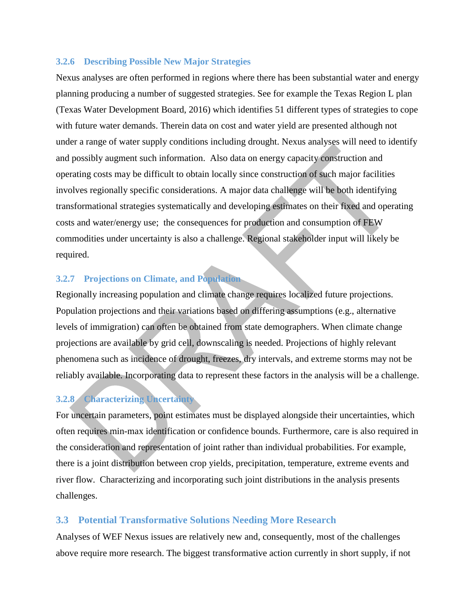#### **3.2.6 Describing Possible New Major Strategies**

Nexus analyses are often performed in regions where there has been substantial water and energy planning producing a number of suggested strategies. See for example the Texas Region L plan (Texas Water Development Board, 2016) which identifies 51 different types of strategies to cope with future water demands. Therein data on cost and water yield are presented although not under a range of water supply conditions including drought. Nexus analyses will need to identify and possibly augment such information. Also data on energy capacity construction and operating costs may be difficult to obtain locally since construction of such major facilities involves regionally specific considerations. A major data challenge will be both identifying transformational strategies systematically and developing estimates on their fixed and operating costs and water/energy use; the consequences for production and consumption of FEW commodities under uncertainty is also a challenge. Regional stakeholder input will likely be required.

#### **3.2.7 Projections on Climate, and Population**

Regionally increasing population and climate change requires localized future projections. Population projections and their variations based on differing assumptions (e.g., alternative levels of immigration) can often be obtained from state demographers. When climate change projections are available by grid cell, downscaling is needed. Projections of highly relevant phenomena such as incidence of drought, freezes, dry intervals, and extreme storms may not be reliably available. Incorporating data to represent these factors in the analysis will be a challenge.

## **3.2.8 Characterizing Uncertainty**

For uncertain parameters, point estimates must be displayed alongside their uncertainties, which often requires min-max identification or confidence bounds. Furthermore, care is also required in the consideration and representation of joint rather than individual probabilities. For example, there is a joint distribution between crop yields, precipitation, temperature, extreme events and river flow. Characterizing and incorporating such joint distributions in the analysis presents challenges.

#### **3.3 Potential Transformative Solutions Needing More Research**

Analyses of WEF Nexus issues are relatively new and, consequently, most of the challenges above require more research. The biggest transformative action currently in short supply, if not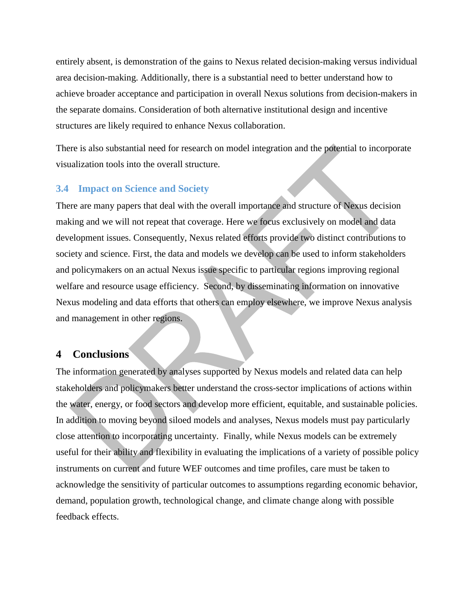entirely absent, is demonstration of the gains to Nexus related decision-making versus individual area decision-making. Additionally, there is a substantial need to better understand how to achieve broader acceptance and participation in overall Nexus solutions from decision-makers in the separate domains. Consideration of both alternative institutional design and incentive structures are likely required to enhance Nexus collaboration.

There is also substantial need for research on model integration and the potential to incorporate visualization tools into the overall structure.

## **3.4 Impact on Science and Society**

There are many papers that deal with the overall importance and structure of Nexus decision making and we will not repeat that coverage. Here we focus exclusively on model and data development issues. Consequently, Nexus related efforts provide two distinct contributions to society and science. First, the data and models we develop can be used to inform stakeholders and policymakers on an actual Nexus issue specific to particular regions improving regional welfare and resource usage efficiency. Second, by disseminating information on innovative Nexus modeling and data efforts that others can employ elsewhere, we improve Nexus analysis and management in other regions.

### **4 Conclusions**

The information generated by analyses supported by Nexus models and related data can help stakeholders and policymakers better understand the cross-sector implications of actions within the water, energy, or food sectors and develop more efficient, equitable, and sustainable policies. In addition to moving beyond siloed models and analyses, Nexus models must pay particularly close attention to incorporating uncertainty. Finally, while Nexus models can be extremely useful for their ability and flexibility in evaluating the implications of a variety of possible policy instruments on current and future WEF outcomes and time profiles, care must be taken to acknowledge the sensitivity of particular outcomes to assumptions regarding economic behavior, demand, population growth, technological change, and climate change along with possible feedback effects.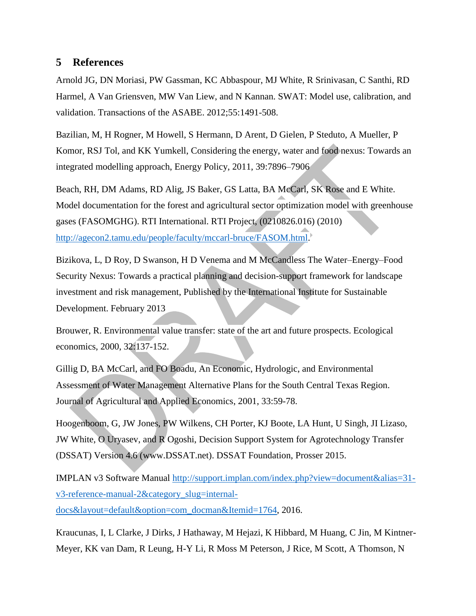## **5 References**

Arnold JG, DN Moriasi, PW Gassman, KC Abbaspour, MJ White, R Srinivasan, C Santhi, RD Harmel, A Van Griensven, MW Van Liew, and N Kannan. SWAT: Model use, calibration, and validation. Transactions of the ASABE. 2012;55:1491-508.

Bazilian, M, H Rogner, M Howell, S Hermann, D Arent, D Gielen, P Steduto, A Mueller, P Komor, RSJ Tol, and KK Yumkell, Considering the energy, water and food nexus: Towards an integrated modelling approach, Energy Policy, 2011, 39:7896–7906

Beach, RH, DM Adams, RD Alig, JS Baker, GS Latta, BA McCarl, SK Rose and E White. Model documentation for the forest and agricultural sector optimization model with greenhouse gases (FASOMGHG). RTI International. RTI Project, (0210826.016) (2010) [http://agecon2.tamu.edu/people/faculty/mccarl-bruce/FASOM.html.](http://agecon2.tamu.edu/people/faculty/mccarl-bruce/FASOM.html)

Bizikova, L, D Roy, D Swanson, H D Venema and M McCandless The Water–Energy–Food Security Nexus: Towards a practical planning and decision-support framework for landscape investment and risk management, Published by the International Institute for Sustainable Development. February 2013

Brouwer, R. Environmental value transfer: state of the art and future prospects. Ecological economics, 2000, 32:137-152.

Gillig D, BA McCarl, and FO Boadu, An Economic, Hydrologic, and Environmental Assessment of Water Management Alternative Plans for the South Central Texas Region. Journal of Agricultural and Applied Economics, 2001, 33:59-78.

Hoogenboom, G, JW Jones, PW Wilkens, CH Porter, KJ Boote, LA Hunt, U Singh, JI Lizaso, JW White, O Uryasev, and R Ogoshi, Decision Support System for Agrotechnology Transfer (DSSAT) Version 4.6 (www.DSSAT.net). DSSAT Foundation, Prosser 2015.

IMPLAN v3 Software Manual [http://support.implan.com/index.php?view=document&alias=31](http://support.implan.com/index.php?view=document&alias=31-v3-reference-manual-2&category_slug=internal-docs&layout=default&option=com_docman&Itemid=1764) [v3-reference-manual-2&category\\_slug=internal-](http://support.implan.com/index.php?view=document&alias=31-v3-reference-manual-2&category_slug=internal-docs&layout=default&option=com_docman&Itemid=1764)

[docs&layout=default&option=com\\_docman&Itemid=1764,](http://support.implan.com/index.php?view=document&alias=31-v3-reference-manual-2&category_slug=internal-docs&layout=default&option=com_docman&Itemid=1764) 2016.

Kraucunas, I, L Clarke, J Dirks, J Hathaway, M Hejazi, K Hibbard, M Huang, C Jin, M Kintner-Meyer, KK van Dam, R Leung, H-Y Li, R Moss M Peterson, J Rice, M Scott, A Thomson, N